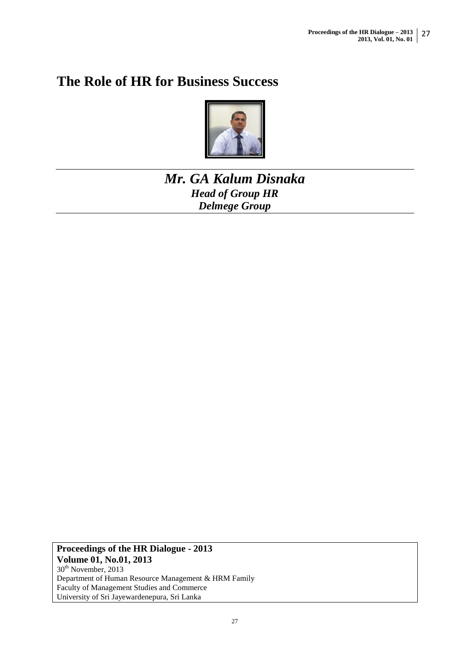# **The Role of HR for Business Success**



## *Mr. GA Kalum Disnaka Head of Group HR Delmege Group*

**Proceedings of the HR Dialogue - 2013 Volume 01, No.01, 2013** 30<sup>th</sup> November, 2013 Department of Human Resource Management & HRM Family Faculty of Management Studies and Commerce University of Sri Jayewardenepura, Sri Lanka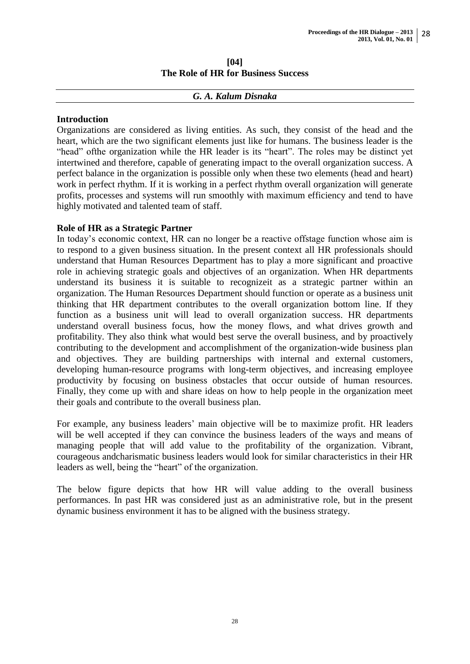#### **[04] The Role of HR for Business Success**

#### *G. A. Kalum Disnaka*

#### **Introduction**

Organizations are considered as living entities. As such, they consist of the head and the heart, which are the two significant elements just like for humans. The business leader is the "head" ofthe organization while the HR leader is its "heart". The roles may be distinct yet intertwined and therefore, capable of generating impact to the overall organization success. A perfect balance in the organization is possible only when these two elements (head and heart) work in perfect rhythm. If it is working in a perfect rhythm overall organization will generate profits, processes and systems will run smoothly with maximum efficiency and tend to have highly motivated and talented team of staff.

#### **Role of HR as a Strategic Partner**

In today"s economic context, HR can no longer be a reactive offstage function whose aim is to respond to a given business situation. In the present context all HR professionals should understand that Human Resources Department has to play a more significant and proactive role in achieving strategic goals and objectives of an organization. When HR departments understand its business it is suitable to recognizeit as a strategic partner within an organization. The Human Resources Department should function or operate as a business unit thinking that HR department contributes to the overall organization bottom line. If they function as a business unit will lead to overall organization success. HR departments understand overall business focus, how the money flows, and what drives growth and profitability. They also think what would best serve the overall business, and by proactively contributing to the development and accomplishment of the organization-wide business plan and objectives. They are building partnerships with internal and external customers, developing human-resource programs with long-term objectives, and increasing employee productivity by focusing on business obstacles that occur outside of human resources. Finally, they come up with and share ideas on how to help people in the organization meet their goals and contribute to the overall business plan.

For example, any business leaders' main objective will be to maximize profit. HR leaders will be well accepted if they can convince the business leaders of the ways and means of managing people that will add value to the profitability of the organization. Vibrant, courageous andcharismatic business leaders would look for similar characteristics in their HR leaders as well, being the "heart" of the organization.

The below figure depicts that how HR will value adding to the overall business performances. In past HR was considered just as an administrative role, but in the present dynamic business environment it has to be aligned with the business strategy.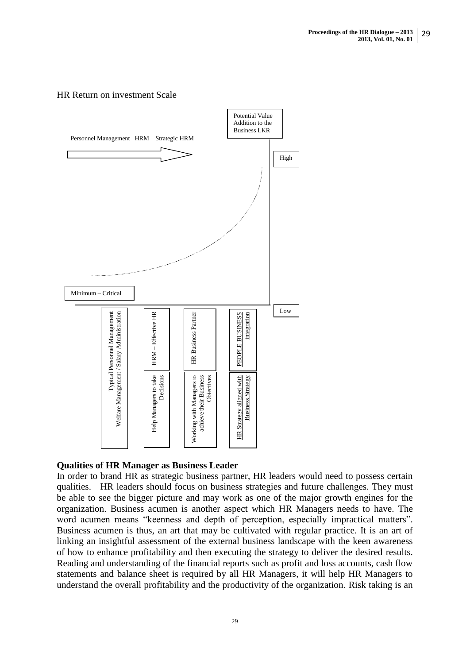#### HR Return on investment Scale



#### **Qualities of HR Manager as Business Leader**

In order to brand HR as strategic business partner, HR leaders would need to possess certain qualities. HR leaders should focus on business strategies and future challenges. They must be able to see the bigger picture and may work as one of the major growth engines for the organization. Business acumen is another aspect which HR Managers needs to have. The word acumen means "keenness and depth of perception, especially impractical matters". Business acumen is thus, an art that may be cultivated with regular practice. It is an art of linking an insightful assessment of the external business landscape with the keen awareness of how to enhance profitability and then executing the strategy to deliver the desired results. Reading and understanding of the financial reports such as profit and loss accounts, cash flow statements and balance sheet is required by all HR Managers, it will help HR Managers to **Example the solution of the solution of the solution of the solution of the solution of the solution of the mandaton is a profit and loss accounts, cash flow understand the overall profitability and the productivity of t**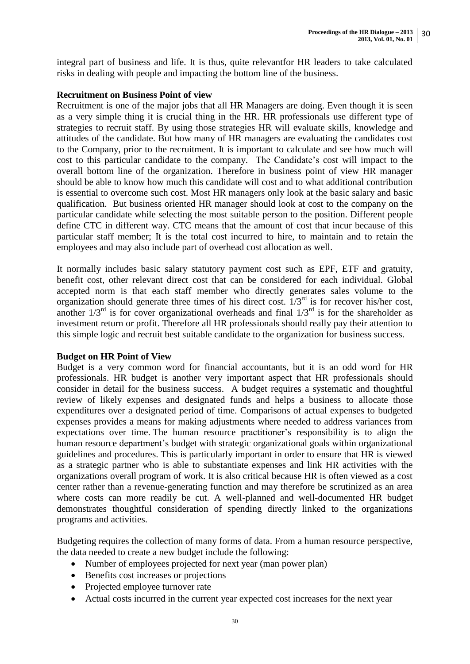integral part of business and life. It is thus, quite relevantfor HR leaders to take calculated risks in dealing with people and impacting the bottom line of the business.

#### **Recruitment on Business Point of view**

Recruitment is one of the major jobs that all HR Managers are doing. Even though it is seen as a very simple thing it is crucial thing in the HR. HR professionals use different type of strategies to recruit staff. By using those strategies HR will evaluate skills, knowledge and attitudes of the candidate. But how many of HR managers are evaluating the candidates cost to the Company, prior to the recruitment. It is important to calculate and see how much will cost to this particular candidate to the company. The Candidate"s cost will impact to the overall bottom line of the organization. Therefore in business point of view HR manager should be able to know how much this candidate will cost and to what additional contribution is essential to overcome such cost. Most HR managers only look at the basic salary and basic qualification. But business oriented HR manager should look at cost to the company on the particular candidate while selecting the most suitable person to the position. Different people define CTC in different way. CTC means that the amount of cost that incur because of this particular staff member; It is the total cost incurred to hire, to maintain and to retain the employees and may also include part of overhead cost allocation as well.

It normally includes basic salary statutory payment cost such as EPF, ETF and gratuity, benefit cost, other relevant direct cost that can be considered for each individual. Global accepted norm is that each staff member who directly generates sales volume to the organization should generate three times of his direct cost.  $1/3^{rd}$  is for recover his/her cost, another  $1/3^{rd}$  is for cover organizational overheads and final  $1/3^{rd}$  is for the shareholder as investment return or profit. Therefore all HR professionals should really pay their attention to this simple logic and recruit best suitable candidate to the organization for business success.

#### **Budget on HR Point of View**

Budget is a very common word for financial accountants, but it is an odd word for HR professionals. HR budget is another very important aspect that HR professionals should consider in detail for the business success. A budget requires a systematic and thoughtful review of likely expenses and designated funds and helps a business to allocate those expenditures over a designated period of time. Comparisons of actual expenses to budgeted expenses provides a means for making adjustments where needed to address variances from expectations over time. The human resource practitioner"s responsibility is to align the human resource department's budget with strategic organizational goals within organizational guidelines and procedures. This is particularly important in order to ensure that HR is viewed as a strategic partner who is able to substantiate expenses and link HR activities with the organizations overall program of work. It is also critical because HR is often viewed as a cost center rather than a revenue-generating function and may therefore be scrutinized as an area where costs can more readily be cut. A well-planned and well-documented HR budget demonstrates thoughtful consideration of spending directly linked to the organizations programs and activities.

Budgeting requires the collection of many forms of data. From a human resource perspective, the data needed to create a new budget include the following:

- Number of employees projected for next year (man power plan)
- Benefits cost increases or projections
- Projected employee turnover rate
- Actual costs incurred in the current year expected cost increases for the next year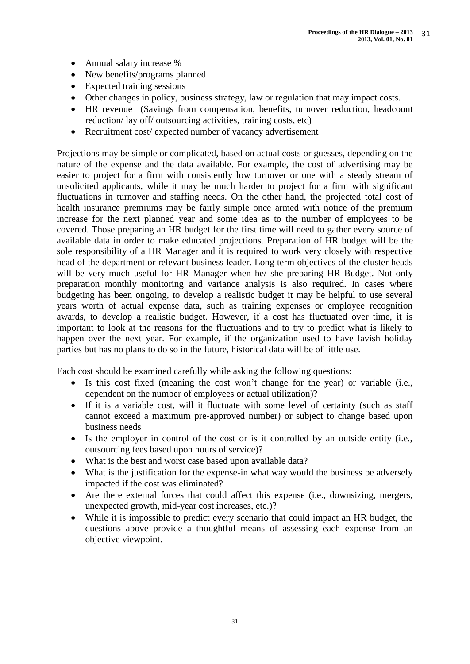- Annual salary increase %
- New benefits/programs planned
- Expected training sessions
- Other changes in policy, business strategy, law or regulation that may impact costs.
- HR revenue (Savings from compensation, benefits, turnover reduction, headcount reduction/ lay off/ outsourcing activities, training costs, etc)
- Recruitment cost/ expected number of vacancy advertisement

Projections may be simple or complicated, based on actual costs or guesses, depending on the nature of the expense and the data available. For example, the cost of advertising may be easier to project for a firm with consistently low turnover or one with a steady stream of unsolicited applicants, while it may be much harder to project for a firm with significant fluctuations in turnover and staffing needs. On the other hand, the projected total cost of health insurance premiums may be fairly simple once armed with notice of the premium increase for the next planned year and some idea as to the number of employees to be covered. Those preparing an HR budget for the first time will need to gather every source of available data in order to make educated projections. Preparation of HR budget will be the sole responsibility of a HR Manager and it is required to work very closely with respective head of the department or relevant business leader. Long term objectives of the cluster heads will be very much useful for HR Manager when he/ she preparing HR Budget. Not only preparation monthly monitoring and variance analysis is also required. In cases where budgeting has been ongoing, to develop a realistic budget it may be helpful to use several years worth of actual expense data, such as training expenses or employee recognition awards, to develop a realistic budget. However, if a cost has fluctuated over time, it is important to look at the reasons for the fluctuations and to try to predict what is likely to happen over the next year. For example, if the organization used to have lavish holiday parties but has no plans to do so in the future, historical data will be of little use.

Each cost should be examined carefully while asking the following questions:

- Is this cost fixed (meaning the cost won"t change for the year) or variable (i.e., dependent on the number of employees or actual utilization)?
- If it is a variable cost, will it fluctuate with some level of certainty (such as staff cannot exceed a maximum pre-approved number) or subject to change based upon business needs
- Is the employer in control of the cost or is it controlled by an outside entity (i.e., outsourcing fees based upon hours of service)?
- What is the best and worst case based upon available data?
- What is the justification for the expense-in what way would the business be adversely impacted if the cost was eliminated?
- Are there external forces that could affect this expense (i.e., downsizing, mergers, unexpected growth, mid-year cost increases, etc.)?
- While it is impossible to predict every scenario that could impact an HR budget, the questions above provide a thoughtful means of assessing each expense from an objective viewpoint.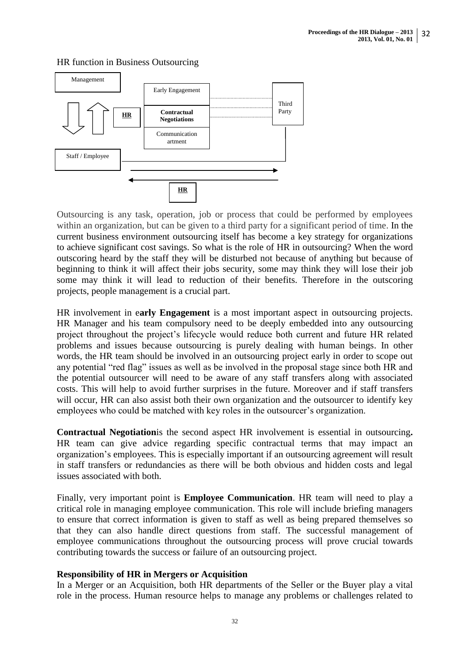

#### HR function in Business Outsourcing

Outsourcing is any task, operation, job or process that could be performed by employees within an organization, but can be given to a third party for a significant period of time. In the current business environment outsourcing itself has become a key strategy for organizations to achieve significant cost savings. So what is the role of HR in outsourcing? When the word outscoring heard by the staff they will be disturbed not because of anything but because of beginning to think it will affect their jobs security, some may think they will lose their job some may think it will lead to reduction of their benefits. Therefore in the outscoring projects, people management is a crucial part.

HR involvement in e**arly Engagement** is a most important aspect in outsourcing projects. HR Manager and his team compulsory need to be deeply embedded into any outsourcing project throughout the project"s lifecycle would reduce both current and future HR related problems and issues because outsourcing is purely dealing with human beings. In other words, the HR team should be involved in an [outsourcing project](http://outsourceportfolio.com/intelligent-outsourcing/) early in order to scope out any potential "red flag" issues as well as be involved in the proposal stage since both HR and the potential outsourcer will need to be aware of any staff transfers along with associated costs. This will help to avoid further surprises in the future. Moreover and if staff transfers will occur, HR can also assist both their own organization and the outsourcer to identify key employees who could be matched with key roles in the outsourcer's organization.

**Contractual Negotiation**is the second aspect HR involvement is essential in outsourcing**.**  HR team can give advice regarding specific contractual [terms](http://outsourceportfolio.com/terms/) that may impact an [organization"s](http://outsourceportfolio.com/bpo-success-best-practices-for-organizational-changes/) employees. This is especially important if an outsourcing agreement will result in staff transfers or redundancies as there will be both obvious and hidden costs and legal issues associated with both.

Finally, very important point is **Employee Communication**. HR team will need to play a critical role in managing employee communication. This role will include briefing managers to ensure that correct information is given to staff as well as being prepared themselves so that they can also handle direct questions from staff. The successful management of employee communications throughout the outsourcing process will prove crucial towards contributing towards the success or [failure](http://outsourceportfolio.com/why-offshore-outsourcing-fails/) of an outsourcing project.

## **Responsibility of HR in Mergers or Acquisition**

In a Merger or an Acquisition, both HR departments of the Seller or the Buyer play a vital role in the process. Human resource helps to manage any problems or challenges related to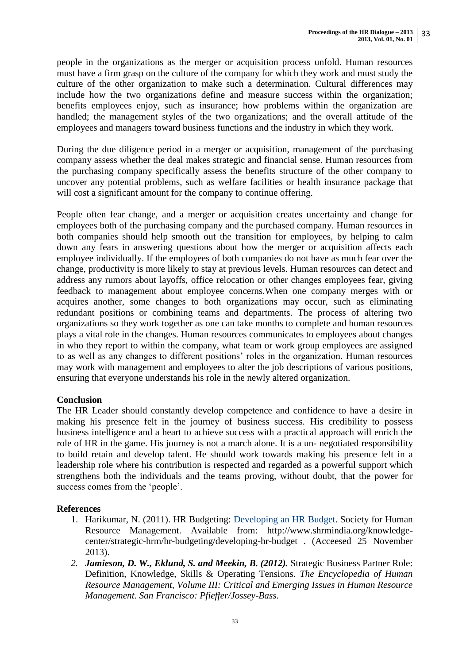people in the organizations as the merger or acquisition process unfold. Human resources must have a firm grasp on the culture of the company for which they work and must study the culture of the other organization to make such a determination. Cultural differences may include how the two organizations define and measure success within the organization; benefits employees enjoy, such as insurance; how problems within the organization are handled; the management styles of the two organizations; and the overall attitude of the employees and managers toward business functions and the industry in which they work.

During the due diligence period in a merger or acquisition, management of the purchasing company assess whether the deal makes strategic and financial sense. Human resources from the purchasing company specifically assess the benefits structure of the other company to uncover any potential problems, such as welfare facilities or health insurance package that will cost a significant amount for the company to continue offering.

People often fear change, and a merger or acquisition creates uncertainty and change for employees both of the purchasing company and the purchased company. Human resources in both companies should help smooth out the transition for employees, by helping to calm down any fears in answering questions about how the merger or acquisition affects each employee individually. If the employees of both companies do not have as much fear over the change, productivity is more likely to stay at previous levels. Human resources can detect and address any rumors about layoffs, office relocation or other changes employees fear, giving feedback to management about employee concerns.When one company merges with or acquires another, some changes to both organizations may occur, such as eliminating redundant positions or combining teams and departments. The process of altering two organizations so they work together as one can take months to complete and human resources plays a vital role in the changes. Human resources communicates to employees about changes in who they report to within the company, what team or work group employees are assigned to as well as any changes to different positions" roles in the organization. Human resources may work with management and employees to alter the job descriptions of various positions, ensuring that everyone understands his role in the newly altered organization.

## **Conclusion**

The HR Leader should constantly develop competence and confidence to have a desire in making his presence felt in the journey of business success. His credibility to possess business intelligence and a heart to achieve success with a practical approach will enrich the role of HR in the game. His journey is not a march alone. It is a un- negotiated responsibility to build retain and develop talent. He should work towards making his presence felt in a leadership role where his contribution is respected and regarded as a powerful support which strengthens both the individuals and the teams proving, without doubt, that the power for success comes from the "people".

## **References**

- 1. Harikumar, N. (2011). HR Budgeting: [Developing an HR Budget.](http://www.shrmindia.org/knowledge-center/strategic-hrm/hr-budgeting/developing-hr-budget) Society for Human Resource Management. Available from: http://www.shrmindia.org/knowledgecenter/strategic-hrm/hr-budgeting/developing-hr-budget . (Acceesed 25 November 2013).
- *2. Jamieson, D. W., Eklund, S. and Meekin, B. (2012).* Strategic Business Partner Role: Definition, Knowledge, Skills & Operating Tensions. *The Encyclopedia of Human Resource Management, Volume III: Critical and Emerging Issues in Human Resource Management. San Francisco: Pfieffer/Jossey-Bass.*